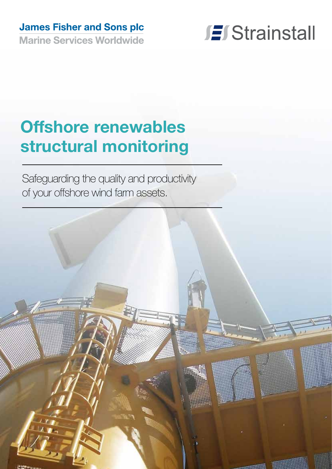# **James Fisher and Sons plc**

**Marine Services Worldwide** 



# **Offshore renewables structural monitoring**

Safeguarding the quality and productivity of your offshore wind farm assets.

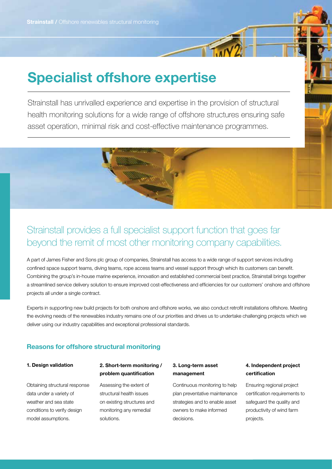# **Specialist offshore expertise**

Strainstall has unrivalled experience and expertise in the provision of structural health monitoring solutions for a wide range of offshore structures ensuring safe asset operation, minimal risk and cost-effective maintenance programmes.

# Strainstall provides a full specialist support function that goes far beyond the remit of most other monitoring company capabilities.

A part of James Fisher and Sons plc group of companies, Strainstall has access to a wide range of support services including confined space support teams, diving teams, rope access teams and vessel support through which its customers can benefit. Combining the group's in-house marine experience, innovation and established commercial best practice, Strainstall brings together a streamlined service delivery solution to ensure improved cost-effectiveness and efficiencies for our customers' onshore and offshore projects all under a single contract.

Experts in supporting new build projects for both onshore and offshore works, we also conduct retrofit installations offshore. Meeting the evolving needs of the renewables industry remains one of our priorities and drives us to undertake challenging projects which we deliver using our industry capabilities and exceptional professional standards.

### **Reasons for offshore structural monitoring**

#### **1. Design validation**

Obtaining structural response data under a variety of weather and sea state conditions to verify design model assumptions.

### **2. Short-term monitoring / problem quantification**

Assessing the extent of structural health issues on existing structures and monitoring any remedial solutions.

#### **3. Long-term asset management**

Continuous monitoring to help plan preventative maintenance strategies and to enable asset owners to make informed decisions.

### **4. Independent project certification**

Ensuring regional project certification requirements to safeguard the quality and productivity of wind farm projects.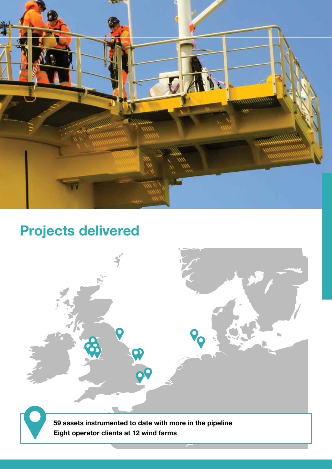

# **Projects delivered**

**59 assets instrumented to date with more in the pipeline Eight operator clients at 12 wind farms**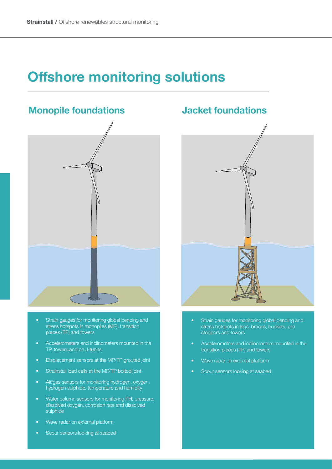# **Offshore monitoring solutions**

## **Monopile foundations**



- Strain gauges for monitoring global bending and stress hotspots in monopiles (MP), transition pieces (TP) and towers
- Accelerometers and inclinometers mounted in the TP, towers and on J-tubes
- Displacement sensors at the MP/TP grouted joint
- Strainstall load cells at the MP/TP bolted joint
- Air/gas sensors for monitoring hydrogen, oxygen, hydrogen sulphide, temperature and humidity
- Water column sensors for monitoring PH, pressure, dissolved oxygen, corrosion rate and dissolved sulphide
- Wave radar on external platform
- Scour sensors looking at seabed

### **Jacket foundations**



- Strain gauges for monitoring global bending and stress hotspots in legs, braces, buckets, pile stoppers and towers
- Accelerometers and inclinometers mounted in the transition pieces (TP) and towers
- Wave radar on external platform
- Scour sensors looking at seabed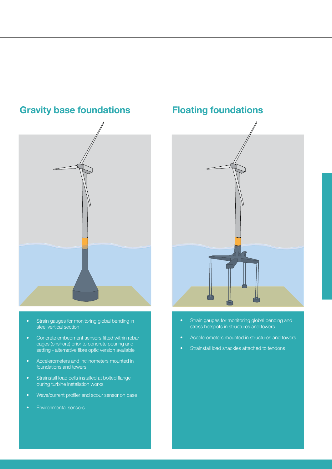**Gravity base foundations**

- Strain gauges for monitoring global bending in steel vertical section
- Concrete embedment sensors fitted within rebar cages (onshore) prior to concrete pouring and setting - alternative fibre optic version available
- Accelerometers and inclinometers mounted in foundations and towers
- Strainstall load cells installed at bolted flange during turbine installation works
- Wave/current profiler and scour sensor on base
- Environmental sensors

## **Floating foundations**



- Strain gauges for monitoring global bending and stress hotspots in structures and towers
- Accelerometers mounted in structures and towers
- Strainstall load shackles attached to tendons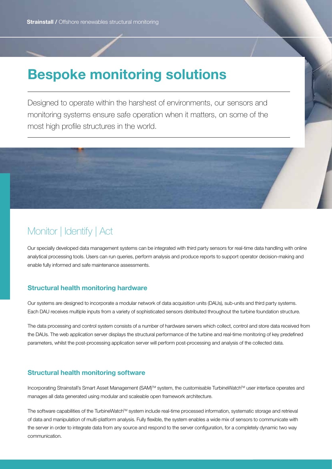# **Bespoke monitoring solutions**

Designed to operate within the harshest of environments, our sensors and monitoring systems ensure safe operation when it matters, on some of the most high profile structures in the world.



# Monitor | Identify | Act

Our specially developed data management systems can be integrated with third party sensors for real-time data handling with online analytical processing tools. Users can run queries, perform analysis and produce reports to support operator decision-making and enable fully informed and safe maintenance assessments.

### **Structural health monitoring hardware**

Our systems are designed to incorporate a modular network of data acquisition units (DAUs), sub-units and third party systems. Each DAU receives multiple inputs from a variety of sophisticated sensors distributed throughout the turbine foundation structure.

The data processing and control system consists of a number of hardware servers which collect, control and store data received from the DAUs. The web application server displays the structural performance of the turbine and real-time monitoring of key predefined parameters, whilst the post-processing application server will perform post-processing and analysis of the collected data.

### **Structural health monitoring software**

Incorporating Strainstall's Smart Asset Management (SAM)™ system, the customisable TurbineWatch™ user interface operates and manages all data generated using modular and scaleable open framework architecture.

The software capabilities of the TurbineWatch™ system include real-time processed information, systematic storage and retrieval of data and manipulation of multi-platform analysis. Fully flexible, the system enables a wide mix of sensors to communicate with the server in order to integrate data from any source and respond to the server configuration, for a completely dynamic two way communication.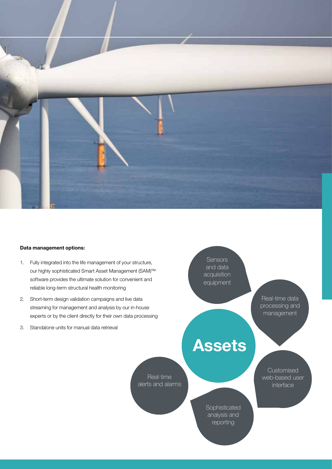

#### **Data management options:**

- 1. Fully integrated into the life management of your structure, our highly sophisticated Smart Asset Management (SAM)™ software provides the ultimate solution for convenient and reliable long-term structural health monitoring
- 2. Short-term design validation campaigns and live data streaming for management and analysis by our in-house experts or by the client directly for their own data processing
- 3. Standalone units for manual data retrieval

**Sensors** and data acquisition equipment

> Real-time data processing and management

# **Assets**

Customised web-based user interface

Real-time alerts and alarms

> **Sophisticated** analysis and reporting